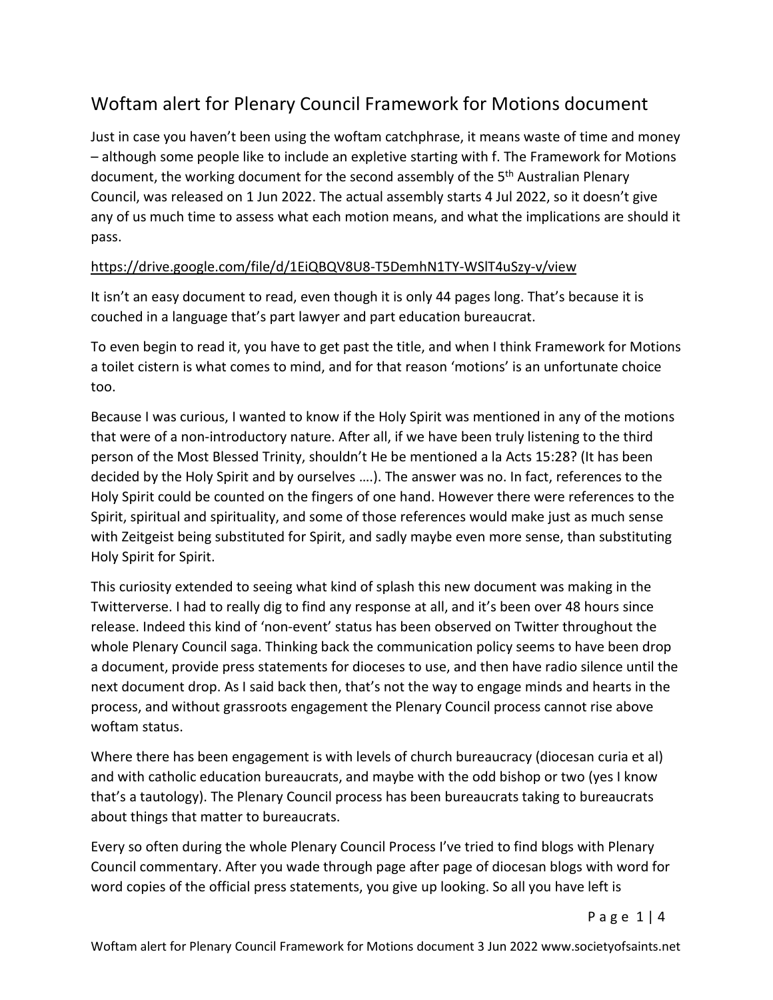## Woftam alert for Plenary Council Framework for Motions document

Just in case you haven't been using the woftam catchphrase, it means waste of time and money – although some people like to include an expletive starting with f. The Framework for Motions document, the working document for the second assembly of the 5<sup>th</sup> Australian Plenary Council, was released on 1 Jun 2022. The actual assembly starts 4 Jul 2022, so it doesn't give any of us much time to assess what each motion means, and what the implications are should it pass.

## https://drive.google.com/file/d/1EiQBQV8U8-T5DemhN1TY-WSlT4uSzy-v/view

It isn't an easy document to read, even though it is only 44 pages long. That's because it is couched in a language that's part lawyer and part education bureaucrat.

To even begin to read it, you have to get past the title, and when I think Framework for Motions a toilet cistern is what comes to mind, and for that reason 'motions' is an unfortunate choice too.

Because I was curious, I wanted to know if the Holy Spirit was mentioned in any of the motions that were of a non-introductory nature. After all, if we have been truly listening to the third person of the Most Blessed Trinity, shouldn't He be mentioned a la Acts 15:28? (It has been decided by the Holy Spirit and by ourselves ….). The answer was no. In fact, references to the Holy Spirit could be counted on the fingers of one hand. However there were references to the Spirit, spiritual and spirituality, and some of those references would make just as much sense with Zeitgeist being substituted for Spirit, and sadly maybe even more sense, than substituting Holy Spirit for Spirit.

This curiosity extended to seeing what kind of splash this new document was making in the Twitterverse. I had to really dig to find any response at all, and it's been over 48 hours since release. Indeed this kind of 'non-event' status has been observed on Twitter throughout the whole Plenary Council saga. Thinking back the communication policy seems to have been drop a document, provide press statements for dioceses to use, and then have radio silence until the next document drop. As I said back then, that's not the way to engage minds and hearts in the process, and without grassroots engagement the Plenary Council process cannot rise above woftam status.

Where there has been engagement is with levels of church bureaucracy (diocesan curia et al) and with catholic education bureaucrats, and maybe with the odd bishop or two (yes I know that's a tautology). The Plenary Council process has been bureaucrats taking to bureaucrats about things that matter to bureaucrats.

Every so often during the whole Plenary Council Process I've tried to find blogs with Plenary Council commentary. After you wade through page after page of diocesan blogs with word for word copies of the official press statements, you give up looking. So all you have left is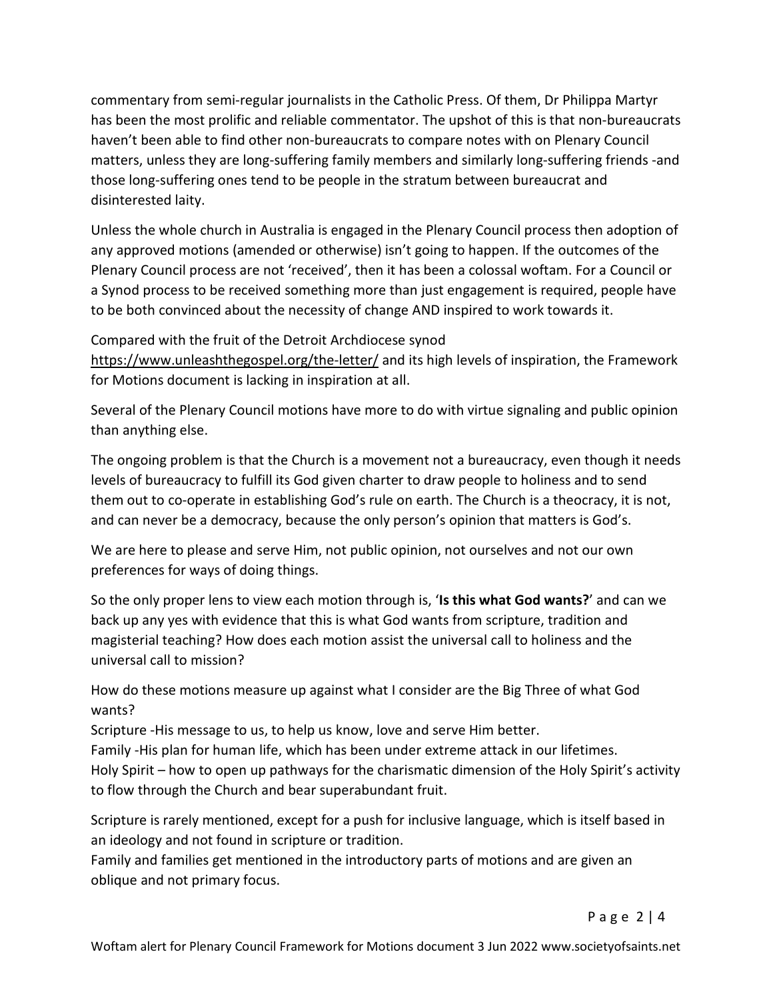commentary from semi-regular journalists in the Catholic Press. Of them, Dr Philippa Martyr has been the most prolific and reliable commentator. The upshot of this is that non-bureaucrats haven't been able to find other non-bureaucrats to compare notes with on Plenary Council matters, unless they are long-suffering family members and similarly long-suffering friends -and those long-suffering ones tend to be people in the stratum between bureaucrat and disinterested laity.

Unless the whole church in Australia is engaged in the Plenary Council process then adoption of any approved motions (amended or otherwise) isn't going to happen. If the outcomes of the Plenary Council process are not 'received', then it has been a colossal woftam. For a Council or a Synod process to be received something more than just engagement is required, people have to be both convinced about the necessity of change AND inspired to work towards it.

Compared with the fruit of the Detroit Archdiocese synod https://www.unleashthegospel.org/the-letter/ and its high levels of inspiration, the Framework for Motions document is lacking in inspiration at all.

Several of the Plenary Council motions have more to do with virtue signaling and public opinion than anything else.

The ongoing problem is that the Church is a movement not a bureaucracy, even though it needs levels of bureaucracy to fulfill its God given charter to draw people to holiness and to send them out to co-operate in establishing God's rule on earth. The Church is a theocracy, it is not, and can never be a democracy, because the only person's opinion that matters is God's.

We are here to please and serve Him, not public opinion, not ourselves and not our own preferences for ways of doing things.

So the only proper lens to view each motion through is, '**Is this what God wants?**' and can we back up any yes with evidence that this is what God wants from scripture, tradition and magisterial teaching? How does each motion assist the universal call to holiness and the universal call to mission?

How do these motions measure up against what I consider are the Big Three of what God wants?

Scripture -His message to us, to help us know, love and serve Him better.

Family -His plan for human life, which has been under extreme attack in our lifetimes. Holy Spirit – how to open up pathways for the charismatic dimension of the Holy Spirit's activity to flow through the Church and bear superabundant fruit.

Scripture is rarely mentioned, except for a push for inclusive language, which is itself based in an ideology and not found in scripture or tradition.

Family and families get mentioned in the introductory parts of motions and are given an oblique and not primary focus.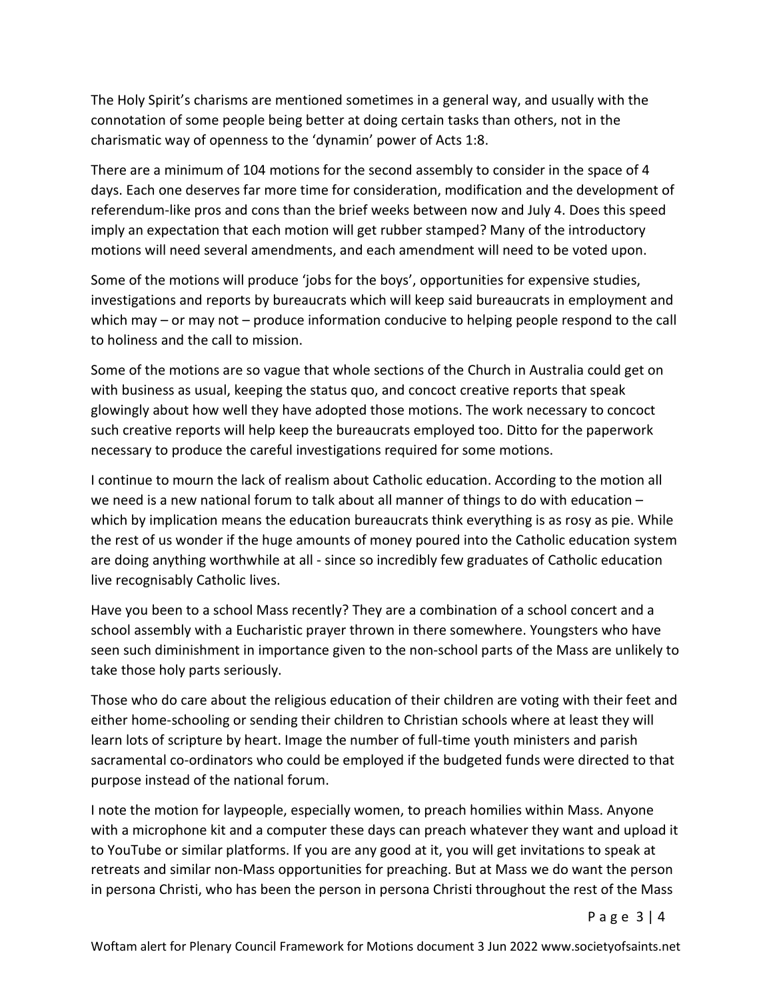The Holy Spirit's charisms are mentioned sometimes in a general way, and usually with the connotation of some people being better at doing certain tasks than others, not in the charismatic way of openness to the 'dynamin' power of Acts 1:8.

There are a minimum of 104 motions for the second assembly to consider in the space of 4 days. Each one deserves far more time for consideration, modification and the development of referendum-like pros and cons than the brief weeks between now and July 4. Does this speed imply an expectation that each motion will get rubber stamped? Many of the introductory motions will need several amendments, and each amendment will need to be voted upon.

Some of the motions will produce 'jobs for the boys', opportunities for expensive studies, investigations and reports by bureaucrats which will keep said bureaucrats in employment and which may – or may not – produce information conducive to helping people respond to the call to holiness and the call to mission.

Some of the motions are so vague that whole sections of the Church in Australia could get on with business as usual, keeping the status quo, and concoct creative reports that speak glowingly about how well they have adopted those motions. The work necessary to concoct such creative reports will help keep the bureaucrats employed too. Ditto for the paperwork necessary to produce the careful investigations required for some motions.

I continue to mourn the lack of realism about Catholic education. According to the motion all we need is a new national forum to talk about all manner of things to do with education – which by implication means the education bureaucrats think everything is as rosy as pie. While the rest of us wonder if the huge amounts of money poured into the Catholic education system are doing anything worthwhile at all - since so incredibly few graduates of Catholic education live recognisably Catholic lives.

Have you been to a school Mass recently? They are a combination of a school concert and a school assembly with a Eucharistic prayer thrown in there somewhere. Youngsters who have seen such diminishment in importance given to the non-school parts of the Mass are unlikely to take those holy parts seriously.

Those who do care about the religious education of their children are voting with their feet and either home-schooling or sending their children to Christian schools where at least they will learn lots of scripture by heart. Image the number of full-time youth ministers and parish sacramental co-ordinators who could be employed if the budgeted funds were directed to that purpose instead of the national forum.

I note the motion for laypeople, especially women, to preach homilies within Mass. Anyone with a microphone kit and a computer these days can preach whatever they want and upload it to YouTube or similar platforms. If you are any good at it, you will get invitations to speak at retreats and similar non-Mass opportunities for preaching. But at Mass we do want the person in persona Christi, who has been the person in persona Christi throughout the rest of the Mass

P a g e 3 | 4